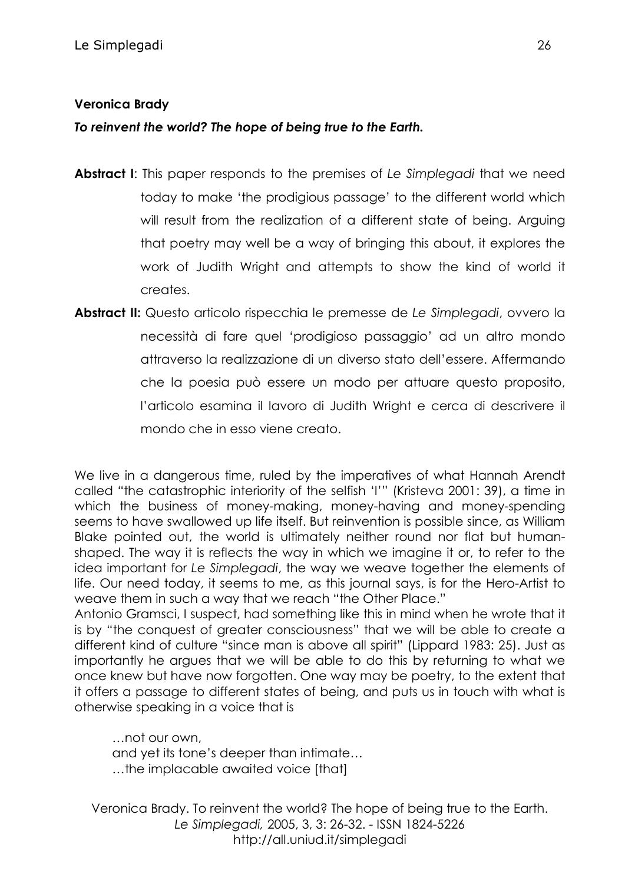## **Veronica Brady**

*To reinvent the world? The hope of being true to the Earth.*

- **Abstract I**: This paper responds to the premises of *Le Simplegadi* that we need today to make 'the prodigious passage' to the different world which will result from the realization of a different state of being. Arguing that poetry may well be a way of bringing this about, it explores the work of Judith Wright and attempts to show the kind of world it creates.
- **Abstract II:** Questo articolo rispecchia le premesse de *Le Simplegadi*, ovvero la necessità di fare quel 'prodigioso passaggio' ad un altro mondo attraverso la realizzazione di un diverso stato dell'essere. Affermando che la poesia può essere un modo per attuare questo proposito, l'articolo esamina il lavoro di Judith Wright e cerca di descrivere il mondo che in esso viene creato.

We live in a dangerous time, ruled by the imperatives of what Hannah Arendt called "the catastrophic interiority of the selfish 'I'" (Kristeva 2001: 39), a time in which the business of money-making, money-having and money-spending seems to have swallowed up life itself. But reinvention is possible since, as William Blake pointed out, the world is ultimately neither round nor flat but humanshaped. The way it is reflects the way in which we imagine it or, to refer to the idea important for *Le Simplegadi*, the way we weave together the elements of life. Our need today, it seems to me, as this journal says, is for the Hero-Artist to weave them in such a way that we reach "the Other Place."

Antonio Gramsci, I suspect, had something like this in mind when he wrote that it is by "the conquest of greater consciousness" that we will be able to create a different kind of culture "since man is above all spirit" (Lippard 1983: 25). Just as importantly he argues that we will be able to do this by returning to what we once knew but have now forgotten. One way may be poetry, to the extent that it offers a passage to different states of being, and puts us in touch with what is otherwise speaking in a voice that is

…not our own, and yet its tone's deeper than intimate… …the implacable awaited voice [that]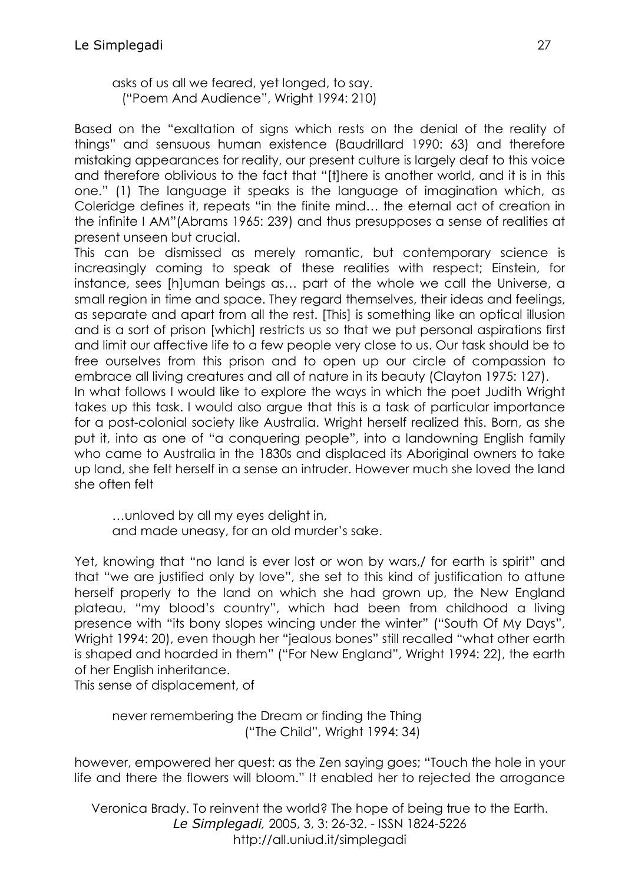asks of us all we feared, yet longed, to say. ("Poem And Audience", Wright 1994: 210)

Based on the "exaltation of signs which rests on the denial of the reality of things" and sensuous human existence (Baudrillard 1990: 63) and therefore mistaking appearances for reality, our present culture is largely deaf to this voice and therefore oblivious to the fact that "[t]here is another world, and it is in this one." (1) The language it speaks is the language of imagination which, as Coleridge defines it, repeats "in the finite mind… the eternal act of creation in the infinite I AM"(Abrams 1965: 239) and thus presupposes a sense of realities at present unseen but crucial.

This can be dismissed as merely romantic, but contemporary science is increasingly coming to speak of these realities with respect; Einstein, for instance, sees [h]uman beings as… part of the whole we call the Universe, a small region in time and space. They regard themselves, their ideas and feelings, as separate and apart from all the rest. [This] is something like an optical illusion and is a sort of prison [which] restricts us so that we put personal aspirations first and limit our affective life to a few people very close to us. Our task should be to free ourselves from this prison and to open up our circle of compassion to embrace all living creatures and all of nature in its beauty (Clayton 1975: 127). In what follows I would like to explore the ways in which the poet Judith Wright takes up this task. I would also argue that this is a task of particular importance for a post-colonial society like Australia. Wright herself realized this. Born, as she put it, into as one of "a conquering people", into a landowning English family who came to Australia in the 1830s and displaced its Aboriginal owners to take up land, she felt herself in a sense an intruder. However much she loved the land she often felt

…unloved by all my eyes delight in, and made uneasy, for an old murder's sake.

Yet, knowing that "no land is ever lost or won by wars,/ for earth is spirit" and that "we are justified only by love", she set to this kind of justification to attune herself properly to the land on which she had grown up, the New England plateau, "my blood's country", which had been from childhood a living presence with "its bony slopes wincing under the winter" ("South Of My Days", Wright 1994: 20), even though her "jealous bones" still recalled "what other earth is shaped and hoarded in them" ("For New England", Wright 1994: 22), the earth of her English inheritance.

This sense of displacement, of

never remembering the Dream or finding the Thing ("The Child", Wright 1994: 34)

however, empowered her quest: as the Zen saying goes; "Touch the hole in your life and there the flowers will bloom." It enabled her to rejected the arrogance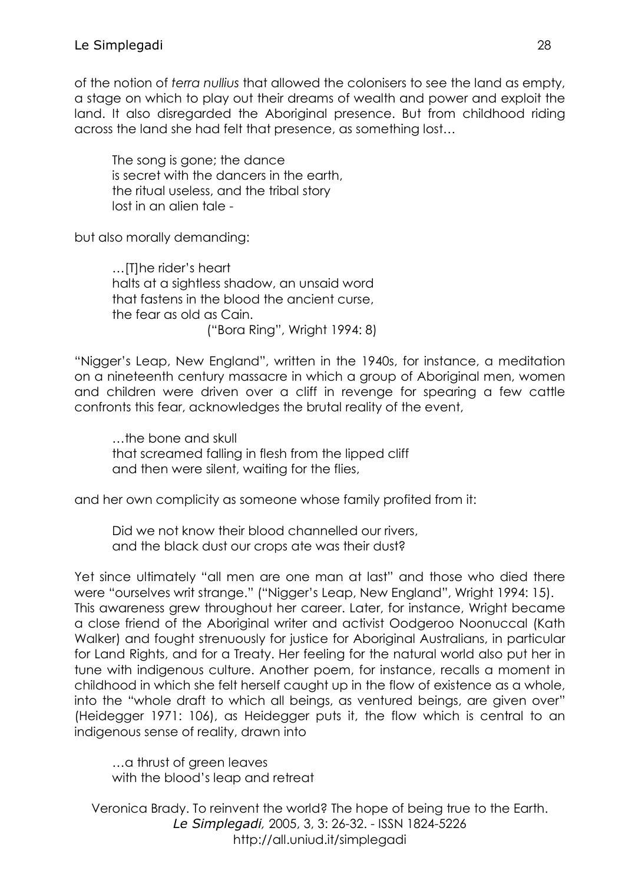of the notion of *terra nullius* that allowed the colonisers to see the land as empty, a stage on which to play out their dreams of wealth and power and exploit the land. It also disregarded the Aboriginal presence. But from childhood riding across the land she had felt that presence, as something lost…

The song is gone; the dance is secret with the dancers in the earth, the ritual useless, and the tribal story lost in an alien tale -

but also morally demanding:

…[T]he rider's heart halts at a sightless shadow, an unsaid word that fastens in the blood the ancient curse, the fear as old as Cain. ("Bora Ring", Wright 1994: 8)

"Nigger's Leap, New England", written in the 1940s, for instance, a meditation on a nineteenth century massacre in which a group of Aboriginal men, women and children were driven over a cliff in revenge for spearing a few cattle confronts this fear, acknowledges the brutal reality of the event,

…the bone and skull that screamed falling in flesh from the lipped cliff and then were silent, waiting for the flies,

and her own complicity as someone whose family profited from it:

Did we not know their blood channelled our rivers, and the black dust our crops ate was their dust?

Yet since ultimately "all men are one man at last" and those who died there were "ourselves writ strange." ("Nigger's Leap, New England", Wright 1994: 15). This awareness grew throughout her career. Later, for instance, Wright became a close friend of the Aboriginal writer and activist Oodgeroo Noonuccal (Kath Walker) and fought strenuously for justice for Aboriginal Australians, in particular for Land Rights, and for a Treaty. Her feeling for the natural world also put her in tune with indigenous culture. Another poem, for instance, recalls a moment in childhood in which she felt herself caught up in the flow of existence as a whole, into the "whole draft to which all beings, as ventured beings, are given over" (Heidegger 1971: 106), as Heidegger puts it, the flow which is central to an indigenous sense of reality, drawn into

…a thrust of green leaves with the blood's leap and retreat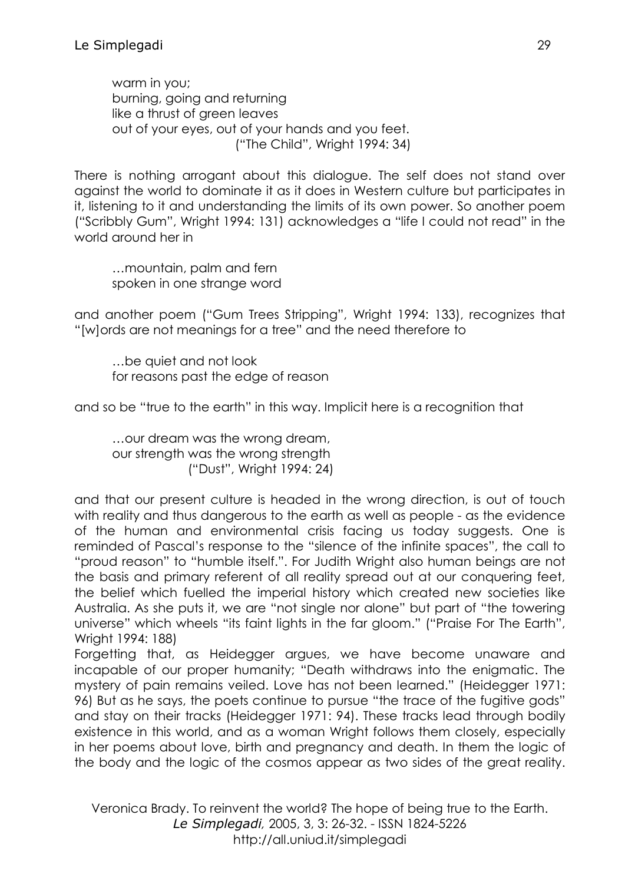warm in you; burning, going and returning like a thrust of green leaves out of your eyes, out of your hands and you feet. ("The Child", Wright 1994: 34)

There is nothing arrogant about this dialogue. The self does not stand over against the world to dominate it as it does in Western culture but participates in it, listening to it and understanding the limits of its own power. So another poem ("Scribbly Gum", Wright 1994: 131) acknowledges a "life I could not read" in the world around her in

…mountain, palm and fern spoken in one strange word

and another poem ("Gum Trees Stripping", Wright 1994: 133), recognizes that "[w]ords are not meanings for a tree" and the need therefore to

…be quiet and not look for reasons past the edge of reason

and so be "true to the earth" in this way. Implicit here is a recognition that

…our dream was the wrong dream, our strength was the wrong strength ("Dust", Wright 1994: 24)

and that our present culture is headed in the wrong direction, is out of touch with reality and thus dangerous to the earth as well as people - as the evidence of the human and environmental crisis facing us today suggests. One is reminded of Pascal's response to the "silence of the infinite spaces", the call to "proud reason" to "humble itself.". For Judith Wright also human beings are not the basis and primary referent of all reality spread out at our conquering feet, the belief which fuelled the imperial history which created new societies like Australia. As she puts it, we are "not single nor alone" but part of "the towering universe" which wheels "its faint lights in the far gloom." ("Praise For The Earth", Wright 1994: 188)

Forgetting that, as Heidegger argues, we have become unaware and incapable of our proper humanity; "Death withdraws into the enigmatic. The mystery of pain remains veiled. Love has not been learned." (Heidegger 1971: 96) But as he says, the poets continue to pursue "the trace of the fugitive gods" and stay on their tracks (Heidegger 1971: 94). These tracks lead through bodily existence in this world, and as a woman Wright follows them closely, especially in her poems about love, birth and pregnancy and death. In them the logic of the body and the logic of the cosmos appear as two sides of the great reality.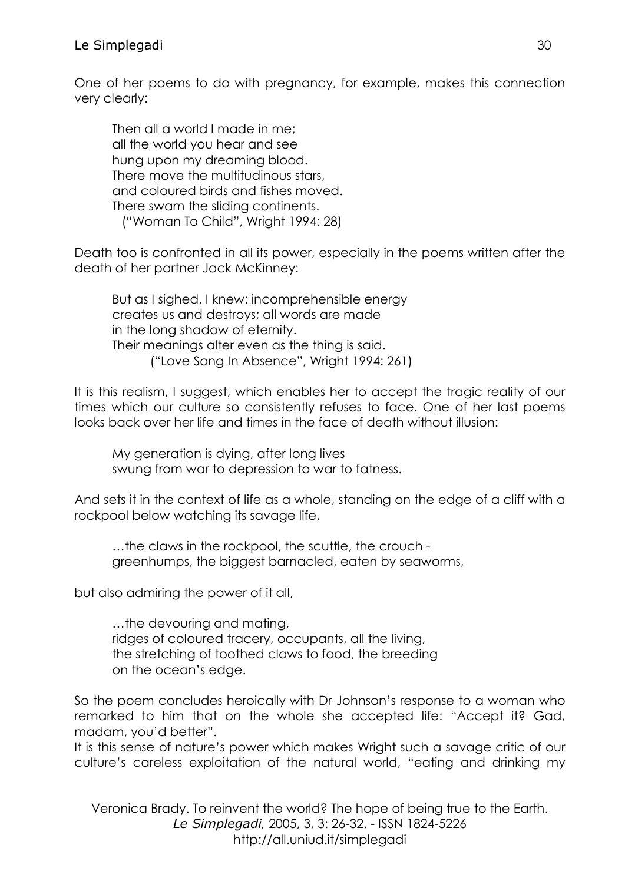One of her poems to do with pregnancy, for example, makes this connection very clearly:

Then all a world I made in me; all the world you hear and see hung upon my dreaming blood. There move the multitudinous stars, and coloured birds and fishes moved. There swam the sliding continents. ("Woman To Child", Wright 1994: 28)

Death too is confronted in all its power, especially in the poems written after the death of her partner Jack McKinney:

But as I sighed, I knew: incomprehensible energy creates us and destroys; all words are made in the long shadow of eternity. Their meanings alter even as the thing is said. ("Love Song In Absence", Wright 1994: 261)

It is this realism, I suggest, which enables her to accept the tragic reality of our times which our culture so consistently refuses to face. One of her last poems looks back over her life and times in the face of death without illusion:

My generation is dying, after long lives swung from war to depression to war to fatness.

And sets it in the context of life as a whole, standing on the edge of a cliff with a rockpool below watching its savage life,

…the claws in the rockpool, the scuttle, the crouch greenhumps, the biggest barnacled, eaten by seaworms,

but also admiring the power of it all,

…the devouring and mating, ridges of coloured tracery, occupants, all the living, the stretching of toothed claws to food, the breeding on the ocean's edge.

So the poem concludes heroically with Dr Johnson's response to a woman who remarked to him that on the whole she accepted life: "Accept it? Gad, madam, you'd better".

It is this sense of nature's power which makes Wright such a savage critic of our culture's careless exploitation of the natural world, "eating and drinking my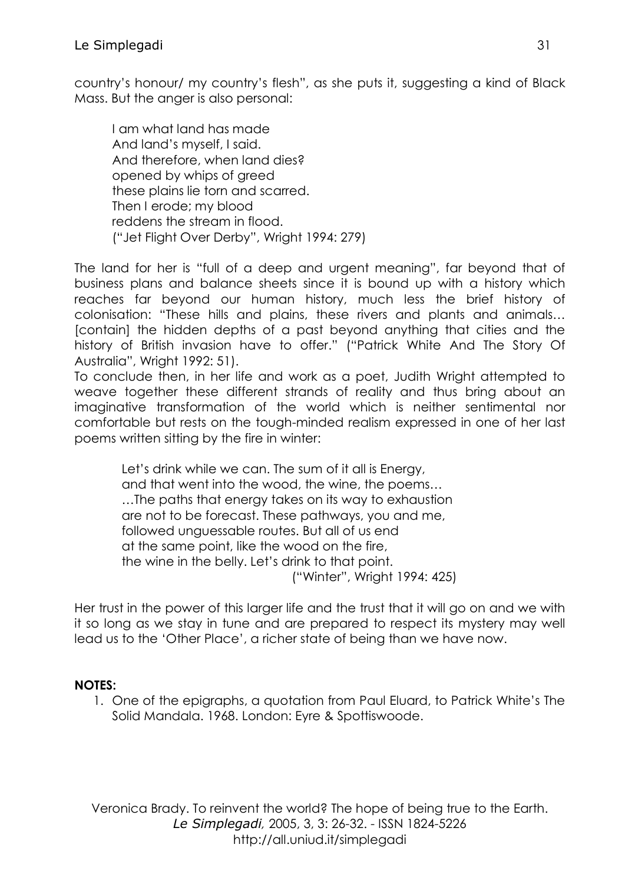country's honour/ my country's flesh", as she puts it, suggesting a kind of Black Mass. But the anger is also personal:

I am what land has made And land's myself, I said. And therefore, when land dies? opened by whips of greed these plains lie torn and scarred. Then I erode; my blood reddens the stream in flood. ("Jet Flight Over Derby", Wright 1994: 279)

The land for her is "full of a deep and urgent meaning", far beyond that of business plans and balance sheets since it is bound up with a history which reaches far beyond our human history, much less the brief history of colonisation: "These hills and plains, these rivers and plants and animals… [contain] the hidden depths of a past beyond anything that cities and the history of British invasion have to offer." ("Patrick White And The Story Of Australia", Wright 1992: 51).

To conclude then, in her life and work as a poet, Judith Wright attempted to weave together these different strands of reality and thus bring about an imaginative transformation of the world which is neither sentimental nor comfortable but rests on the tough-minded realism expressed in one of her last poems written sitting by the fire in winter:

Let's drink while we can. The sum of it all is Energy, and that went into the wood, the wine, the poems… …The paths that energy takes on its way to exhaustion are not to be forecast. These pathways, you and me, followed unguessable routes. But all of us end at the same point, like the wood on the fire, the wine in the belly. Let's drink to that point. ("Winter", Wright 1994: 425)

Her trust in the power of this larger life and the trust that it will go on and we with it so long as we stay in tune and are prepared to respect its mystery may well lead us to the 'Other Place', a richer state of being than we have now.

## **NOTES:**

1. One of the epigraphs, a quotation from Paul Eluard, to Patrick White's The Solid Mandala. 1968. London: Eyre & Spottiswoode.